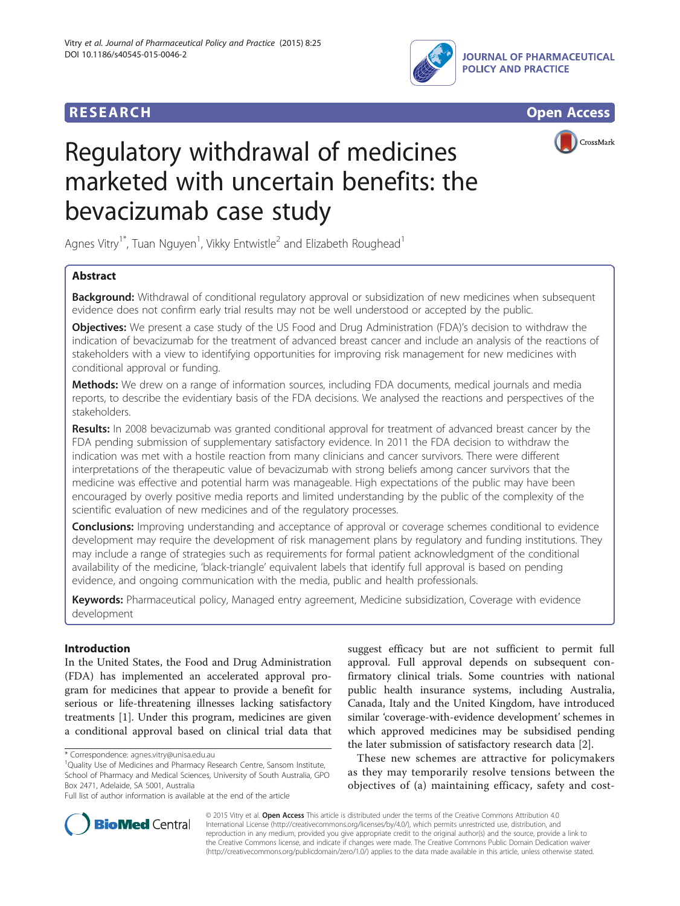





CrossMark

# Regulatory withdrawal of medicines marketed with uncertain benefits: the bevacizumab case study

Agnes Vitry<sup>1\*</sup>, Tuan Nguyen<sup>1</sup>, Vikky Entwistle<sup>2</sup> and Elizabeth Roughead<sup>1</sup>

# Abstract

**Background:** Withdrawal of conditional regulatory approval or subsidization of new medicines when subsequent evidence does not confirm early trial results may not be well understood or accepted by the public.

Objectives: We present a case study of the US Food and Drug Administration (FDA)'s decision to withdraw the indication of bevacizumab for the treatment of advanced breast cancer and include an analysis of the reactions of stakeholders with a view to identifying opportunities for improving risk management for new medicines with conditional approval or funding.

Methods: We drew on a range of information sources, including FDA documents, medical journals and media reports, to describe the evidentiary basis of the FDA decisions. We analysed the reactions and perspectives of the stakeholders.

Results: In 2008 bevacizumab was granted conditional approval for treatment of advanced breast cancer by the FDA pending submission of supplementary satisfactory evidence. In 2011 the FDA decision to withdraw the indication was met with a hostile reaction from many clinicians and cancer survivors. There were different interpretations of the therapeutic value of bevacizumab with strong beliefs among cancer survivors that the medicine was effective and potential harm was manageable. High expectations of the public may have been encouraged by overly positive media reports and limited understanding by the public of the complexity of the scientific evaluation of new medicines and of the regulatory processes.

**Conclusions:** Improving understanding and acceptance of approval or coverage schemes conditional to evidence development may require the development of risk management plans by regulatory and funding institutions. They may include a range of strategies such as requirements for formal patient acknowledgment of the conditional availability of the medicine, 'black-triangle' equivalent labels that identify full approval is based on pending evidence, and ongoing communication with the media, public and health professionals.

**Keywords:** Pharmaceutical policy, Managed entry agreement, Medicine subsidization, Coverage with evidence development

# Introduction

In the United States, the Food and Drug Administration (FDA) has implemented an accelerated approval program for medicines that appear to provide a benefit for serious or life-threatening illnesses lacking satisfactory treatments [\[1](#page-8-0)]. Under this program, medicines are given a conditional approval based on clinical trial data that suggest efficacy but are not sufficient to permit full approval. Full approval depends on subsequent confirmatory clinical trials. Some countries with national public health insurance systems, including Australia, Canada, Italy and the United Kingdom, have introduced similar 'coverage-with-evidence development' schemes in which approved medicines may be subsidised pending the later submission of satisfactory research data [\[2\]](#page-8-0).

These new schemes are attractive for policymakers as they may temporarily resolve tensions between the objectives of (a) maintaining efficacy, safety and cost-



© 2015 Vitry et al. Open Access This article is distributed under the terms of the Creative Commons Attribution 4.0 International License [\(http://creativecommons.org/licenses/by/4.0/](http://creativecommons.org/licenses/by/4.0/)), which permits unrestricted use, distribution, and reproduction in any medium, provided you give appropriate credit to the original author(s) and the source, provide a link to the Creative Commons license, and indicate if changes were made. The Creative Commons Public Domain Dedication waiver [\(http://creativecommons.org/publicdomain/zero/1.0/](http://creativecommons.org/publicdomain/zero/1.0/)) applies to the data made available in this article, unless otherwise stated.

<sup>\*</sup> Correspondence: [agnes.vitry@unisa.edu.au](mailto:agnes.vitry@unisa.edu.au) <sup>1</sup>

<sup>&</sup>lt;sup>1</sup>Quality Use of Medicines and Pharmacy Research Centre, Sansom Institute, School of Pharmacy and Medical Sciences, University of South Australia, GPO Box 2471, Adelaide, SA 5001, Australia

Full list of author information is available at the end of the article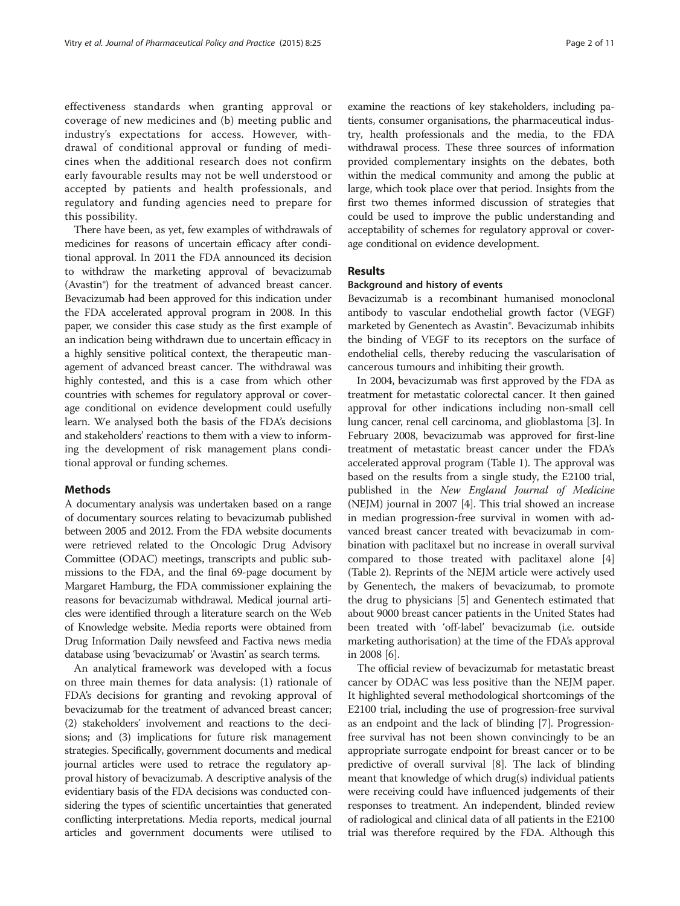effectiveness standards when granting approval or coverage of new medicines and (b) meeting public and industry's expectations for access. However, withdrawal of conditional approval or funding of medicines when the additional research does not confirm early favourable results may not be well understood or accepted by patients and health professionals, and regulatory and funding agencies need to prepare for this possibility.

There have been, as yet, few examples of withdrawals of medicines for reasons of uncertain efficacy after conditional approval. In 2011 the FDA announced its decision to withdraw the marketing approval of bevacizumab (Avastin®) for the treatment of advanced breast cancer. Bevacizumab had been approved for this indication under the FDA accelerated approval program in 2008. In this paper, we consider this case study as the first example of an indication being withdrawn due to uncertain efficacy in a highly sensitive political context, the therapeutic management of advanced breast cancer. The withdrawal was highly contested, and this is a case from which other countries with schemes for regulatory approval or coverage conditional on evidence development could usefully learn. We analysed both the basis of the FDA's decisions and stakeholders' reactions to them with a view to informing the development of risk management plans conditional approval or funding schemes.

## Methods

A documentary analysis was undertaken based on a range of documentary sources relating to bevacizumab published between 2005 and 2012. From the FDA website documents were retrieved related to the Oncologic Drug Advisory Committee (ODAC) meetings, transcripts and public submissions to the FDA, and the final 69-page document by Margaret Hamburg, the FDA commissioner explaining the reasons for bevacizumab withdrawal. Medical journal articles were identified through a literature search on the Web of Knowledge website. Media reports were obtained from Drug Information Daily newsfeed and Factiva news media database using 'bevacizumab' or 'Avastin' as search terms.

An analytical framework was developed with a focus on three main themes for data analysis: (1) rationale of FDA's decisions for granting and revoking approval of bevacizumab for the treatment of advanced breast cancer; (2) stakeholders' involvement and reactions to the decisions; and (3) implications for future risk management strategies. Specifically, government documents and medical journal articles were used to retrace the regulatory approval history of bevacizumab. A descriptive analysis of the evidentiary basis of the FDA decisions was conducted considering the types of scientific uncertainties that generated conflicting interpretations. Media reports, medical journal articles and government documents were utilised to

examine the reactions of key stakeholders, including patients, consumer organisations, the pharmaceutical industry, health professionals and the media, to the FDA withdrawal process. These three sources of information provided complementary insights on the debates, both within the medical community and among the public at large, which took place over that period. Insights from the first two themes informed discussion of strategies that could be used to improve the public understanding and acceptability of schemes for regulatory approval or coverage conditional on evidence development.

#### Results

#### Background and history of events

Bevacizumab is a recombinant humanised monoclonal antibody to vascular endothelial growth factor (VEGF) marketed by Genentech as Avastin®. Bevacizumab inhibits the binding of VEGF to its receptors on the surface of endothelial cells, thereby reducing the vascularisation of cancerous tumours and inhibiting their growth.

In 2004, bevacizumab was first approved by the FDA as treatment for metastatic colorectal cancer. It then gained approval for other indications including non-small cell lung cancer, renal cell carcinoma, and glioblastoma [\[3\]](#page-8-0). In February 2008, bevacizumab was approved for first-line treatment of metastatic breast cancer under the FDA's accelerated approval program (Table [1](#page-2-0)). The approval was based on the results from a single study, the E2100 trial, published in the New England Journal of Medicine (NEJM) journal in 2007 [[4\]](#page-8-0). This trial showed an increase in median progression-free survival in women with advanced breast cancer treated with bevacizumab in combination with paclitaxel but no increase in overall survival compared to those treated with paclitaxel alone [[4](#page-8-0)] (Table [2\)](#page-3-0). Reprints of the NEJM article were actively used by Genentech, the makers of bevacizumab, to promote the drug to physicians [\[5\]](#page-8-0) and Genentech estimated that about 9000 breast cancer patients in the United States had been treated with 'off-label' bevacizumab (i.e. outside marketing authorisation) at the time of the FDA's approval in 2008 [\[6](#page-8-0)].

The official review of bevacizumab for metastatic breast cancer by ODAC was less positive than the NEJM paper. It highlighted several methodological shortcomings of the E2100 trial, including the use of progression-free survival as an endpoint and the lack of blinding [[7](#page-8-0)]. Progressionfree survival has not been shown convincingly to be an appropriate surrogate endpoint for breast cancer or to be predictive of overall survival [\[8\]](#page-8-0). The lack of blinding meant that knowledge of which drug(s) individual patients were receiving could have influenced judgements of their responses to treatment. An independent, blinded review of radiological and clinical data of all patients in the E2100 trial was therefore required by the FDA. Although this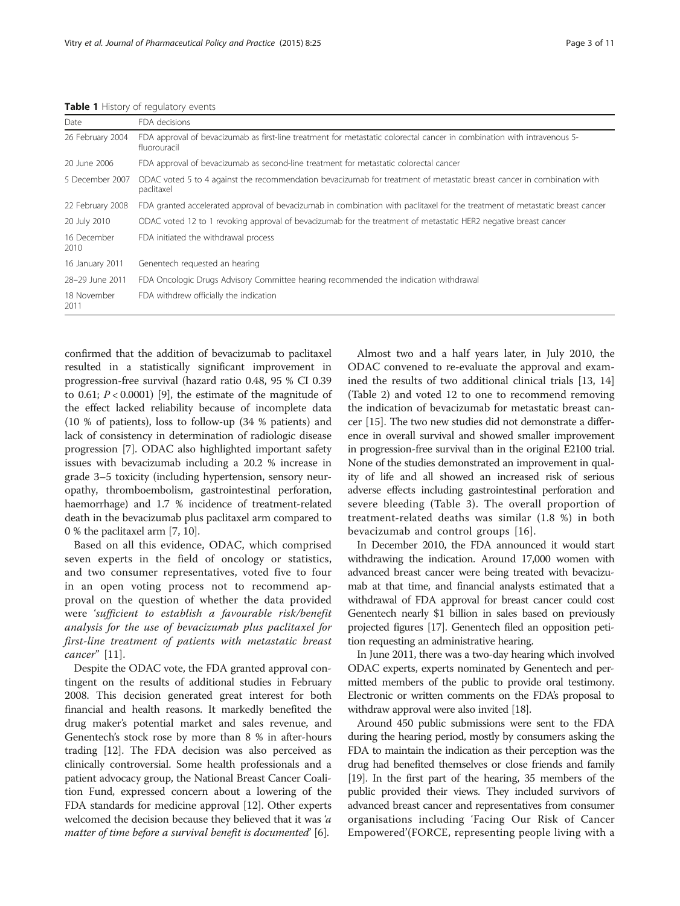<span id="page-2-0"></span>Table 1 History of regulatory events

| Date                | FDA decisions                                                                                                                           |  |  |  |  |
|---------------------|-----------------------------------------------------------------------------------------------------------------------------------------|--|--|--|--|
| 26 February 2004    | FDA approval of bevacizumab as first-line treatment for metastatic colorectal cancer in combination with intravenous 5-<br>fluorouracil |  |  |  |  |
| 20 June 2006        | FDA approval of bevacizumab as second-line treatment for metastatic colorectal cancer                                                   |  |  |  |  |
| 5 December 2007     | ODAC voted 5 to 4 against the recommendation bevacizumab for treatment of metastatic breast cancer in combination with<br>paclitaxel    |  |  |  |  |
| 22 February 2008    | FDA granted accelerated approval of bevacizumab in combination with paclitaxel for the treatment of metastatic breast cancer            |  |  |  |  |
| 20 July 2010        | ODAC voted 12 to 1 revoking approval of bevacizumab for the treatment of metastatic HER2 negative breast cancer                         |  |  |  |  |
| 16 December<br>2010 | FDA initiated the withdrawal process                                                                                                    |  |  |  |  |
| 16 January 2011     | Genentech requested an hearing                                                                                                          |  |  |  |  |
| 28-29 June 2011     | FDA Oncologic Drugs Advisory Committee hearing recommended the indication withdrawal                                                    |  |  |  |  |
| 18 November<br>2011 | FDA withdrew officially the indication                                                                                                  |  |  |  |  |

confirmed that the addition of bevacizumab to paclitaxel resulted in a statistically significant improvement in progression-free survival (hazard ratio 0.48, 95 % CI 0.39 to 0.61;  $P < 0.0001$  [\[9](#page-8-0)], the estimate of the magnitude of the effect lacked reliability because of incomplete data (10 % of patients), loss to follow-up (34 % patients) and lack of consistency in determination of radiologic disease progression [\[7](#page-8-0)]. ODAC also highlighted important safety issues with bevacizumab including a 20.2 % increase in grade 3–5 toxicity (including hypertension, sensory neuropathy, thromboembolism, gastrointestinal perforation, haemorrhage) and 1.7 % incidence of treatment-related death in the bevacizumab plus paclitaxel arm compared to 0 % the paclitaxel arm [[7, 10\]](#page-8-0).

Based on all this evidence, ODAC, which comprised seven experts in the field of oncology or statistics, and two consumer representatives, voted five to four in an open voting process not to recommend approval on the question of whether the data provided were 'sufficient to establish a favourable risk/benefit analysis for the use of bevacizumab plus paclitaxel for first-line treatment of patients with metastatic breast cancer" [\[11](#page-8-0)].

Despite the ODAC vote, the FDA granted approval contingent on the results of additional studies in February 2008. This decision generated great interest for both financial and health reasons. It markedly benefited the drug maker's potential market and sales revenue, and Genentech's stock rose by more than 8 % in after-hours trading [[12](#page-8-0)]. The FDA decision was also perceived as clinically controversial. Some health professionals and a patient advocacy group, the National Breast Cancer Coalition Fund, expressed concern about a lowering of the FDA standards for medicine approval [\[12\]](#page-8-0). Other experts welcomed the decision because they believed that it was 'a matter of time before a survival benefit is documented' [\[6](#page-8-0)].

Almost two and a half years later, in July 2010, the ODAC convened to re-evaluate the approval and examined the results of two additional clinical trials [[13](#page-8-0), [14](#page-8-0)] (Table [2\)](#page-3-0) and voted 12 to one to recommend removing the indication of bevacizumab for metastatic breast cancer [\[15](#page-9-0)]. The two new studies did not demonstrate a difference in overall survival and showed smaller improvement in progression-free survival than in the original E2100 trial. None of the studies demonstrated an improvement in quality of life and all showed an increased risk of serious adverse effects including gastrointestinal perforation and severe bleeding (Table [3](#page-4-0)). The overall proportion of treatment-related deaths was similar (1.8 %) in both bevacizumab and control groups [[16](#page-9-0)].

In December 2010, the FDA announced it would start withdrawing the indication. Around 17,000 women with advanced breast cancer were being treated with bevacizumab at that time, and financial analysts estimated that a withdrawal of FDA approval for breast cancer could cost Genentech nearly \$1 billion in sales based on previously projected figures [[17\]](#page-9-0). Genentech filed an opposition petition requesting an administrative hearing.

In June 2011, there was a two-day hearing which involved ODAC experts, experts nominated by Genentech and permitted members of the public to provide oral testimony. Electronic or written comments on the FDA's proposal to withdraw approval were also invited [\[18\]](#page-9-0).

Around 450 public submissions were sent to the FDA during the hearing period, mostly by consumers asking the FDA to maintain the indication as their perception was the drug had benefited themselves or close friends and family [[19](#page-9-0)]. In the first part of the hearing, 35 members of the public provided their views. They included survivors of advanced breast cancer and representatives from consumer organisations including 'Facing Our Risk of Cancer Empowered'(FORCE, representing people living with a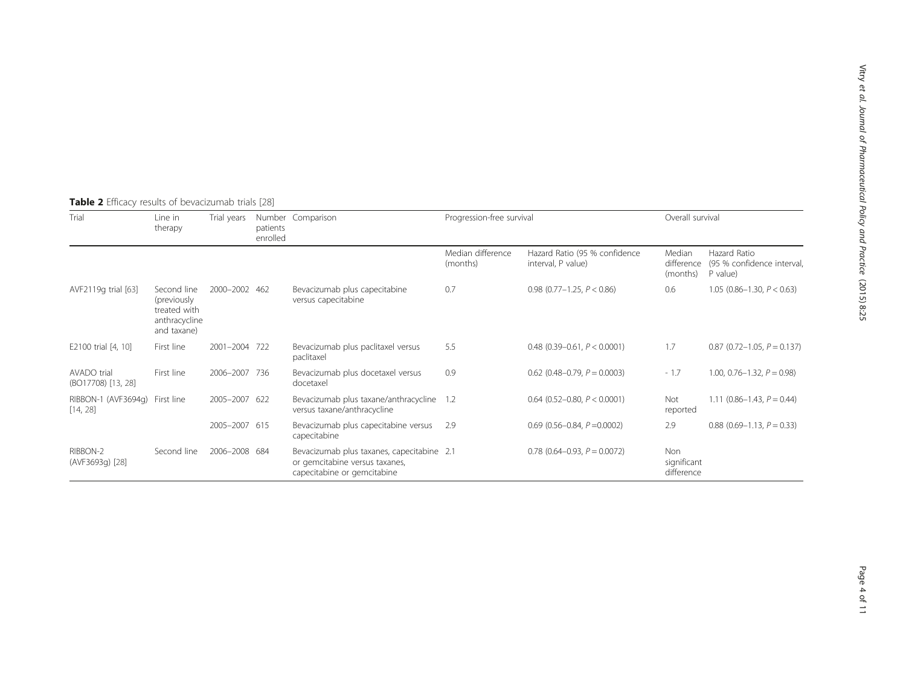## <span id="page-3-0"></span>Table 2 Efficacy results of bevacizumab trials [\[28](#page-9-0)]

| Trial                             | Line in<br>therapy                                                         | Trial years   | patients<br>enrolled | Number Comparison                                                                                           | Progression-free survival     |                                                     | Overall survival                 |                                                        |
|-----------------------------------|----------------------------------------------------------------------------|---------------|----------------------|-------------------------------------------------------------------------------------------------------------|-------------------------------|-----------------------------------------------------|----------------------------------|--------------------------------------------------------|
|                                   |                                                                            |               |                      |                                                                                                             | Median difference<br>(months) | Hazard Ratio (95 % confidence<br>interval, P value) | Median<br>difference<br>(months) | Hazard Ratio<br>(95 % confidence interval,<br>P value) |
| AVF2119q trial [63]               | Second line<br>(previously<br>treated with<br>anthracycline<br>and taxane) | 2000-2002 462 |                      | Bevacizumab plus capecitabine<br>versus capecitabine                                                        | 0.7                           | $0.98$ (0.77-1.25, $P < 0.86$ )                     | 0.6                              | 1.05 $(0.86 - 1.30, P < 0.63)$                         |
| E2100 trial [4, 10]               | First line                                                                 | 2001-2004 722 |                      | Bevacizumab plus paclitaxel versus<br>paclitaxel                                                            | 5.5                           | 0.48 (0.39-0.61, $P < 0.0001$ )                     | 1.7                              | $0.87$ (0.72-1.05, $P = 0.137$ )                       |
| AVADO trial<br>(BO17708) [13, 28] | First line                                                                 | 2006-2007 736 |                      | Bevacizumab plus docetaxel versus<br>docetaxel                                                              | 0.9                           | $0.62$ (0.48-0.79, $P = 0.0003$ )                   | $-1.7$                           | 1.00, 0.76 $-1.32$ , $P = 0.98$ )                      |
| RIBBON-1 (AVF3694g)<br>[14, 28]   | First line                                                                 | 2005-2007 622 |                      | Bevacizumab plus taxane/anthracycline<br>versus taxane/anthracycline                                        | 1.2                           | $0.64$ (0.52-0.80, $P < 0.0001$ )                   | <b>Not</b><br>reported           | 1.11 $(0.86 - 1.43, P = 0.44)$                         |
|                                   |                                                                            | 2005-2007 615 |                      | Bevacizumab plus capecitabine versus<br>capecitabine                                                        | 2.9                           | $0.69$ (0.56-0.84, $P = 0.0002$ )                   | 2.9                              | $0.88$ (0.69-1.13, $P = 0.33$ )                        |
| RIBBON-2<br>(AVF3693q) [28]       | Second line                                                                | 2006-2008 684 |                      | Bevacizumab plus taxanes, capecitabine 2.1<br>or gemcitabine versus taxanes,<br>capecitabine or gemcitabine |                               | $0.78$ (0.64-0.93, $P = 0.0072$ )                   | Non<br>significant<br>difference |                                                        |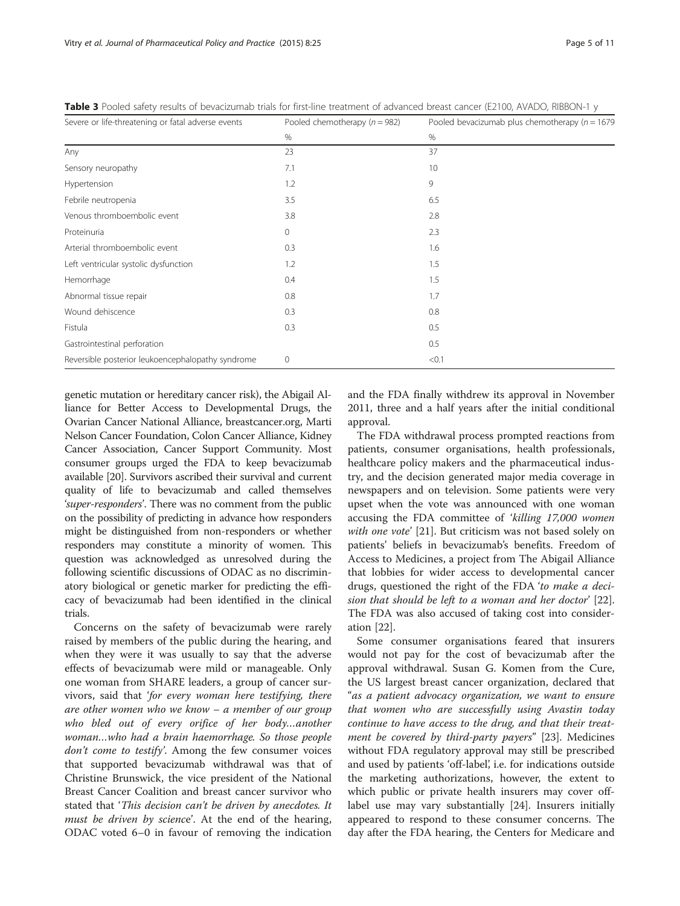| Severe or life-threatening or fatal adverse events | Pooled chemotherapy ( $n = 982$ ) | Pooled bevacizumab plus chemotherapy ( $n = 1679$ |  |  |
|----------------------------------------------------|-----------------------------------|---------------------------------------------------|--|--|
|                                                    | $\%$                              | $\%$                                              |  |  |
| Any                                                | 23                                | 37                                                |  |  |
| Sensory neuropathy                                 | 7.1                               | 10                                                |  |  |
| Hypertension                                       | 1.2                               | 9                                                 |  |  |
| Febrile neutropenia                                | 3.5                               | 6.5                                               |  |  |
| Venous thromboembolic event                        | 3.8                               | 2.8                                               |  |  |
| Proteinuria                                        | $\circ$                           | 2.3                                               |  |  |
| Arterial thromboembolic event                      | 0.3                               | 1.6                                               |  |  |
| Left ventricular systolic dysfunction              | 1.2                               | 1.5                                               |  |  |
| Hemorrhage                                         | 0.4                               | 1.5                                               |  |  |
| Abnormal tissue repair                             | 0.8                               | 1.7                                               |  |  |
| Wound dehiscence                                   | 0.3                               | 0.8                                               |  |  |
| Fistula                                            | 0.3                               | 0.5                                               |  |  |
| Gastrointestinal perforation                       |                                   | 0.5                                               |  |  |
| Reversible posterior leukoencephalopathy syndrome  | $\mathbf 0$                       | < 0.1                                             |  |  |

<span id="page-4-0"></span>Table 3 Pooled safety results of bevacizumab trials for first-line treatment of advanced breast cancer (E2100, AVADO, RIBBON-1 y

genetic mutation or hereditary cancer risk), the Abigail Alliance for Better Access to Developmental Drugs, the Ovarian Cancer National Alliance, breastcancer.org, Marti Nelson Cancer Foundation, Colon Cancer Alliance, Kidney Cancer Association, Cancer Support Community. Most consumer groups urged the FDA to keep bevacizumab available [\[20\]](#page-9-0). Survivors ascribed their survival and current quality of life to bevacizumab and called themselves 'super-responders'. There was no comment from the public on the possibility of predicting in advance how responders might be distinguished from non-responders or whether responders may constitute a minority of women. This question was acknowledged as unresolved during the following scientific discussions of ODAC as no discriminatory biological or genetic marker for predicting the efficacy of bevacizumab had been identified in the clinical trials.

Concerns on the safety of bevacizumab were rarely raised by members of the public during the hearing, and when they were it was usually to say that the adverse effects of bevacizumab were mild or manageable. Only one woman from SHARE leaders, a group of cancer survivors, said that 'for every woman here testifying, there are other women who we know  $-$  a member of our group who bled out of every orifice of her body…another woman…who had a brain haemorrhage. So those people don't come to testify'. Among the few consumer voices that supported bevacizumab withdrawal was that of Christine Brunswick, the vice president of the National Breast Cancer Coalition and breast cancer survivor who stated that 'This decision can't be driven by anecdotes. It must be driven by science'. At the end of the hearing, ODAC voted 6–0 in favour of removing the indication

and the FDA finally withdrew its approval in November 2011, three and a half years after the initial conditional approval.

The FDA withdrawal process prompted reactions from patients, consumer organisations, health professionals, healthcare policy makers and the pharmaceutical industry, and the decision generated major media coverage in newspapers and on television. Some patients were very upset when the vote was announced with one woman accusing the FDA committee of 'killing 17,000 women with one vote' [\[21](#page-9-0)]. But criticism was not based solely on patients' beliefs in bevacizumab's benefits. Freedom of Access to Medicines, a project from The Abigail Alliance that lobbies for wider access to developmental cancer drugs, questioned the right of the FDA 'to make a decision that should be left to a woman and her doctor' [\[22](#page-9-0)]. The FDA was also accused of taking cost into consideration [\[22](#page-9-0)].

Some consumer organisations feared that insurers would not pay for the cost of bevacizumab after the approval withdrawal. Susan G. Komen from the Cure, the US largest breast cancer organization, declared that "as a patient advocacy organization, we want to ensure that women who are successfully using Avastin today continue to have access to the drug, and that their treatment be covered by third-party payers" [\[23](#page-9-0)]. Medicines without FDA regulatory approval may still be prescribed and used by patients 'off-label', i.e. for indications outside the marketing authorizations, however, the extent to which public or private health insurers may cover offlabel use may vary substantially [[24\]](#page-9-0). Insurers initially appeared to respond to these consumer concerns. The day after the FDA hearing, the Centers for Medicare and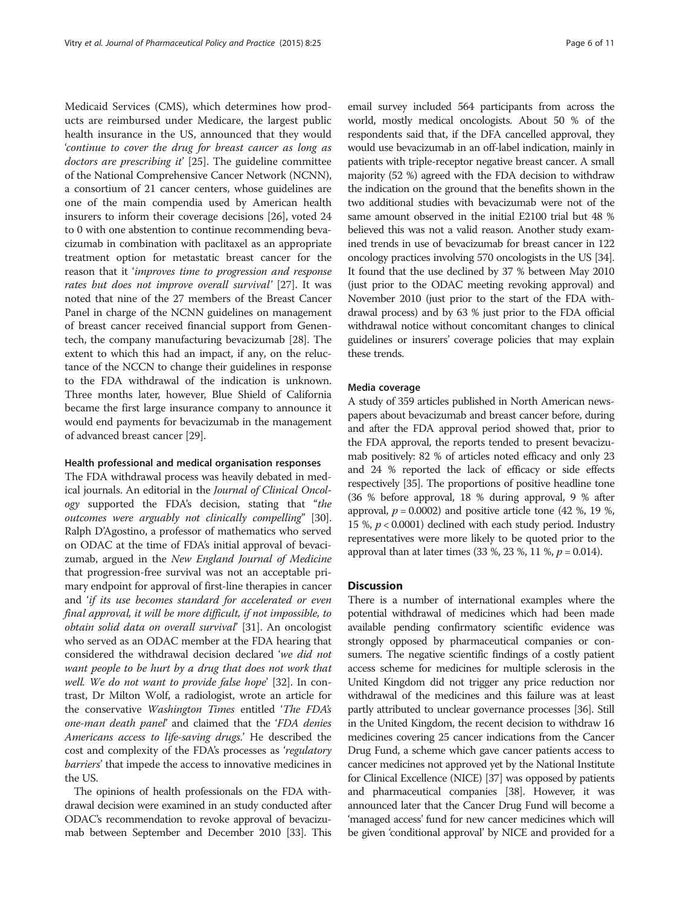Medicaid Services (CMS), which determines how products are reimbursed under Medicare, the largest public health insurance in the US, announced that they would 'continue to cover the drug for breast cancer as long as doctors are prescribing it'  $[25]$  $[25]$ . The guideline committee of the National Comprehensive Cancer Network (NCNN), a consortium of 21 cancer centers, whose guidelines are one of the main compendia used by American health insurers to inform their coverage decisions [\[26](#page-9-0)], voted 24 to 0 with one abstention to continue recommending bevacizumab in combination with paclitaxel as an appropriate treatment option for metastatic breast cancer for the reason that it 'improves time to progression and response rates but does not improve overall survival' [[27](#page-9-0)]. It was noted that nine of the 27 members of the Breast Cancer Panel in charge of the NCNN guidelines on management of breast cancer received financial support from Genentech, the company manufacturing bevacizumab [\[28\]](#page-9-0). The extent to which this had an impact, if any, on the reluctance of the NCCN to change their guidelines in response to the FDA withdrawal of the indication is unknown. Three months later, however, Blue Shield of California became the first large insurance company to announce it would end payments for bevacizumab in the management of advanced breast cancer [[29](#page-9-0)].

#### Health professional and medical organisation responses

The FDA withdrawal process was heavily debated in medical journals. An editorial in the Journal of Clinical Oncology supported the FDA's decision, stating that "the outcomes were arguably not clinically compelling" [[30](#page-9-0)]. Ralph D'Agostino, a professor of mathematics who served on ODAC at the time of FDA's initial approval of bevacizumab, argued in the New England Journal of Medicine that progression-free survival was not an acceptable primary endpoint for approval of first-line therapies in cancer and 'if its use becomes standard for accelerated or even final approval, it will be more difficult, if not impossible, to obtain solid data on overall survival' [\[31\]](#page-9-0). An oncologist who served as an ODAC member at the FDA hearing that considered the withdrawal decision declared 'we did not want people to be hurt by a drug that does not work that well. We do not want to provide false hope' [[32](#page-9-0)]. In contrast, Dr Milton Wolf, a radiologist, wrote an article for the conservative Washington Times entitled 'The FDA's one-man death panel' and claimed that the 'FDA denies Americans access to life-saving drugs.' He described the cost and complexity of the FDA's processes as 'regulatory barriers' that impede the access to innovative medicines in the US.

The opinions of health professionals on the FDA withdrawal decision were examined in an study conducted after ODAC's recommendation to revoke approval of bevacizumab between September and December 2010 [[33](#page-9-0)]. This

email survey included 564 participants from across the world, mostly medical oncologists. About 50 % of the respondents said that, if the DFA cancelled approval, they would use bevacizumab in an off-label indication, mainly in patients with triple-receptor negative breast cancer. A small majority (52 %) agreed with the FDA decision to withdraw the indication on the ground that the benefits shown in the two additional studies with bevacizumab were not of the same amount observed in the initial E2100 trial but 48 % believed this was not a valid reason. Another study examined trends in use of bevacizumab for breast cancer in 122 oncology practices involving 570 oncologists in the US [\[34](#page-9-0)]. It found that the use declined by 37 % between May 2010 (just prior to the ODAC meeting revoking approval) and November 2010 (just prior to the start of the FDA withdrawal process) and by 63 % just prior to the FDA official withdrawal notice without concomitant changes to clinical guidelines or insurers' coverage policies that may explain these trends.

#### Media coverage

A study of 359 articles published in North American newspapers about bevacizumab and breast cancer before, during and after the FDA approval period showed that, prior to the FDA approval, the reports tended to present bevacizumab positively: 82 % of articles noted efficacy and only 23 and 24 % reported the lack of efficacy or side effects respectively [\[35\]](#page-9-0). The proportions of positive headline tone (36 % before approval, 18 % during approval, 9 % after approval,  $p = 0.0002$ ) and positive article tone (42 %, 19 %, 15 %,  $p < 0.0001$ ) declined with each study period. Industry representatives were more likely to be quoted prior to the approval than at later times  $(33 \%, 23 \%, 11 \%, p = 0.014)$ .

### **Discussion**

There is a number of international examples where the potential withdrawal of medicines which had been made available pending confirmatory scientific evidence was strongly opposed by pharmaceutical companies or consumers. The negative scientific findings of a costly patient access scheme for medicines for multiple sclerosis in the United Kingdom did not trigger any price reduction nor withdrawal of the medicines and this failure was at least partly attributed to unclear governance processes [[36](#page-9-0)]. Still in the United Kingdom, the recent decision to withdraw 16 medicines covering 25 cancer indications from the Cancer Drug Fund, a scheme which gave cancer patients access to cancer medicines not approved yet by the National Institute for Clinical Excellence (NICE) [\[37](#page-9-0)] was opposed by patients and pharmaceutical companies [[38](#page-9-0)]. However, it was announced later that the Cancer Drug Fund will become a 'managed access' fund for new cancer medicines which will be given 'conditional approval' by NICE and provided for a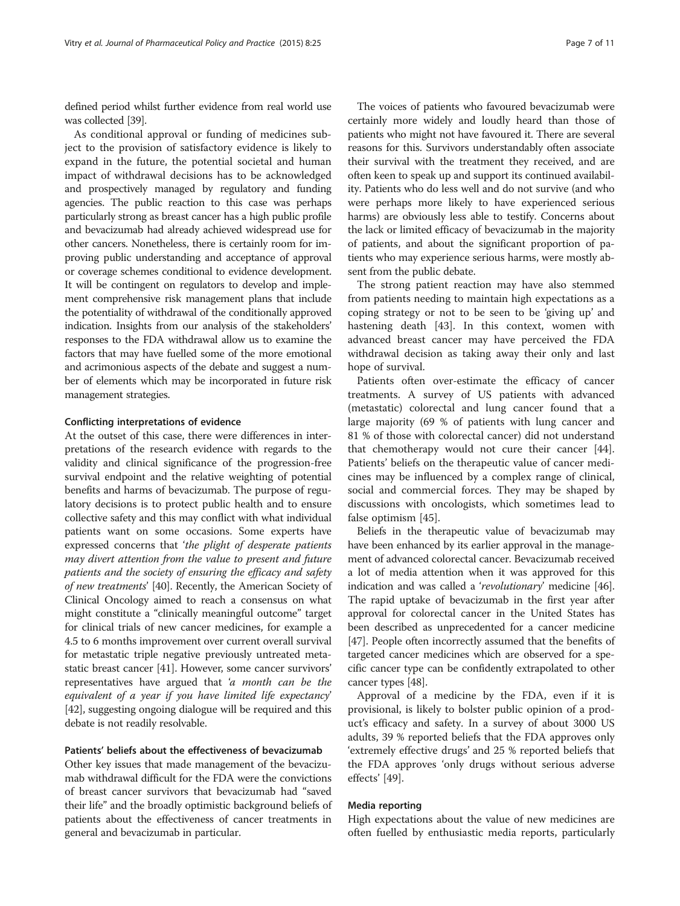defined period whilst further evidence from real world use was collected [\[39\]](#page-9-0).

As conditional approval or funding of medicines subject to the provision of satisfactory evidence is likely to expand in the future, the potential societal and human impact of withdrawal decisions has to be acknowledged and prospectively managed by regulatory and funding agencies. The public reaction to this case was perhaps particularly strong as breast cancer has a high public profile and bevacizumab had already achieved widespread use for other cancers. Nonetheless, there is certainly room for improving public understanding and acceptance of approval or coverage schemes conditional to evidence development. It will be contingent on regulators to develop and implement comprehensive risk management plans that include the potentiality of withdrawal of the conditionally approved indication. Insights from our analysis of the stakeholders' responses to the FDA withdrawal allow us to examine the factors that may have fuelled some of the more emotional and acrimonious aspects of the debate and suggest a number of elements which may be incorporated in future risk management strategies.

#### Conflicting interpretations of evidence

At the outset of this case, there were differences in interpretations of the research evidence with regards to the validity and clinical significance of the progression-free survival endpoint and the relative weighting of potential benefits and harms of bevacizumab. The purpose of regulatory decisions is to protect public health and to ensure collective safety and this may conflict with what individual patients want on some occasions. Some experts have expressed concerns that 'the plight of desperate patients may divert attention from the value to present and future patients and the society of ensuring the efficacy and safety of new treatments' [\[40\]](#page-9-0). Recently, the American Society of Clinical Oncology aimed to reach a consensus on what might constitute a "clinically meaningful outcome" target for clinical trials of new cancer medicines, for example a 4.5 to 6 months improvement over current overall survival for metastatic triple negative previously untreated metastatic breast cancer [\[41\]](#page-9-0). However, some cancer survivors' representatives have argued that 'a month can be the equivalent of a year if you have limited life expectancy' [[42](#page-9-0)], suggesting ongoing dialogue will be required and this debate is not readily resolvable.

## Patients' beliefs about the effectiveness of bevacizumab

Other key issues that made management of the bevacizumab withdrawal difficult for the FDA were the convictions of breast cancer survivors that bevacizumab had "saved their life" and the broadly optimistic background beliefs of patients about the effectiveness of cancer treatments in general and bevacizumab in particular.

The voices of patients who favoured bevacizumab were certainly more widely and loudly heard than those of patients who might not have favoured it. There are several reasons for this. Survivors understandably often associate their survival with the treatment they received, and are often keen to speak up and support its continued availability. Patients who do less well and do not survive (and who were perhaps more likely to have experienced serious harms) are obviously less able to testify. Concerns about the lack or limited efficacy of bevacizumab in the majority of patients, and about the significant proportion of patients who may experience serious harms, were mostly absent from the public debate.

The strong patient reaction may have also stemmed from patients needing to maintain high expectations as a coping strategy or not to be seen to be 'giving up' and hastening death [[43\]](#page-9-0). In this context, women with advanced breast cancer may have perceived the FDA withdrawal decision as taking away their only and last hope of survival.

Patients often over-estimate the efficacy of cancer treatments. A survey of US patients with advanced (metastatic) colorectal and lung cancer found that a large majority (69 % of patients with lung cancer and 81 % of those with colorectal cancer) did not understand that chemotherapy would not cure their cancer [\[44](#page-9-0)]. Patients' beliefs on the therapeutic value of cancer medicines may be influenced by a complex range of clinical, social and commercial forces. They may be shaped by discussions with oncologists, which sometimes lead to false optimism [[45](#page-9-0)].

Beliefs in the therapeutic value of bevacizumab may have been enhanced by its earlier approval in the management of advanced colorectal cancer. Bevacizumab received a lot of media attention when it was approved for this indication and was called a 'revolutionary' medicine [[46](#page-9-0)]. The rapid uptake of bevacizumab in the first year after approval for colorectal cancer in the United States has been described as unprecedented for a cancer medicine [[47](#page-9-0)]. People often incorrectly assumed that the benefits of targeted cancer medicines which are observed for a specific cancer type can be confidently extrapolated to other cancer types [[48](#page-9-0)].

Approval of a medicine by the FDA, even if it is provisional, is likely to bolster public opinion of a product's efficacy and safety. In a survey of about 3000 US adults, 39 % reported beliefs that the FDA approves only 'extremely effective drugs' and 25 % reported beliefs that the FDA approves 'only drugs without serious adverse effects' [[49\]](#page-9-0).

### Media reporting

High expectations about the value of new medicines are often fuelled by enthusiastic media reports, particularly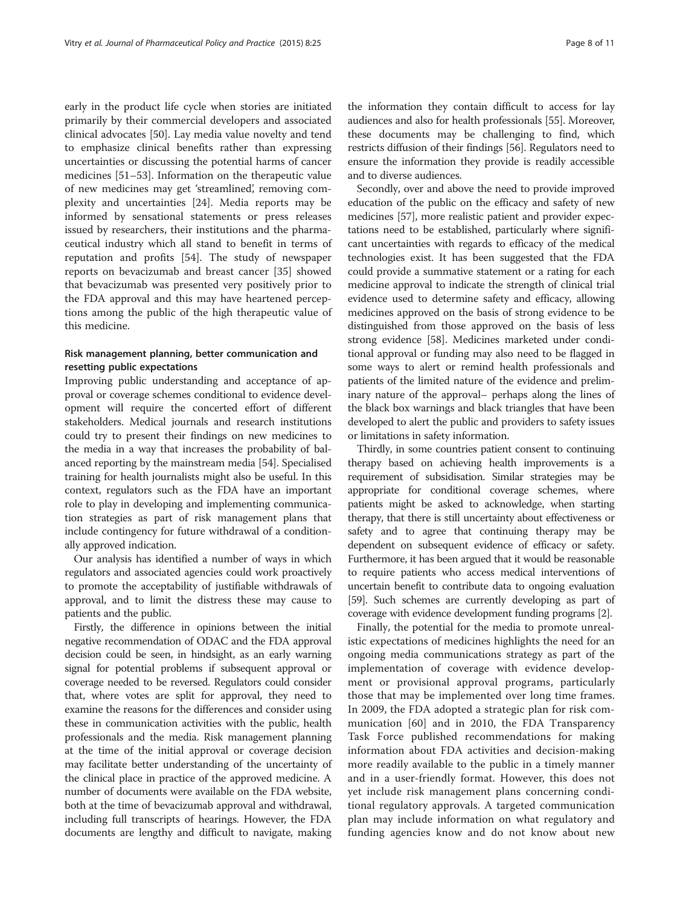early in the product life cycle when stories are initiated primarily by their commercial developers and associated clinical advocates [\[50\]](#page-9-0). Lay media value novelty and tend to emphasize clinical benefits rather than expressing uncertainties or discussing the potential harms of cancer medicines [[51](#page-9-0)–[53](#page-9-0)]. Information on the therapeutic value of new medicines may get 'streamlined', removing complexity and uncertainties [[24](#page-9-0)]. Media reports may be informed by sensational statements or press releases issued by researchers, their institutions and the pharmaceutical industry which all stand to benefit in terms of reputation and profits [[54\]](#page-9-0). The study of newspaper reports on bevacizumab and breast cancer [[35\]](#page-9-0) showed that bevacizumab was presented very positively prior to the FDA approval and this may have heartened perceptions among the public of the high therapeutic value of this medicine.

## Risk management planning, better communication and resetting public expectations

Improving public understanding and acceptance of approval or coverage schemes conditional to evidence development will require the concerted effort of different stakeholders. Medical journals and research institutions could try to present their findings on new medicines to the media in a way that increases the probability of balanced reporting by the mainstream media [\[54](#page-9-0)]. Specialised training for health journalists might also be useful. In this context, regulators such as the FDA have an important role to play in developing and implementing communication strategies as part of risk management plans that include contingency for future withdrawal of a conditionally approved indication.

Our analysis has identified a number of ways in which regulators and associated agencies could work proactively to promote the acceptability of justifiable withdrawals of approval, and to limit the distress these may cause to patients and the public.

Firstly, the difference in opinions between the initial negative recommendation of ODAC and the FDA approval decision could be seen, in hindsight, as an early warning signal for potential problems if subsequent approval or coverage needed to be reversed. Regulators could consider that, where votes are split for approval, they need to examine the reasons for the differences and consider using these in communication activities with the public, health professionals and the media. Risk management planning at the time of the initial approval or coverage decision may facilitate better understanding of the uncertainty of the clinical place in practice of the approved medicine. A number of documents were available on the FDA website, both at the time of bevacizumab approval and withdrawal, including full transcripts of hearings. However, the FDA documents are lengthy and difficult to navigate, making

the information they contain difficult to access for lay audiences and also for health professionals [\[55](#page-9-0)]. Moreover, these documents may be challenging to find, which restricts diffusion of their findings [\[56\]](#page-9-0). Regulators need to ensure the information they provide is readily accessible and to diverse audiences.

Secondly, over and above the need to provide improved education of the public on the efficacy and safety of new medicines [\[57\]](#page-9-0), more realistic patient and provider expectations need to be established, particularly where significant uncertainties with regards to efficacy of the medical technologies exist. It has been suggested that the FDA could provide a summative statement or a rating for each medicine approval to indicate the strength of clinical trial evidence used to determine safety and efficacy, allowing medicines approved on the basis of strong evidence to be distinguished from those approved on the basis of less strong evidence [\[58\]](#page-9-0). Medicines marketed under conditional approval or funding may also need to be flagged in some ways to alert or remind health professionals and patients of the limited nature of the evidence and preliminary nature of the approval– perhaps along the lines of the black box warnings and black triangles that have been developed to alert the public and providers to safety issues or limitations in safety information.

Thirdly, in some countries patient consent to continuing therapy based on achieving health improvements is a requirement of subsidisation. Similar strategies may be appropriate for conditional coverage schemes, where patients might be asked to acknowledge, when starting therapy, that there is still uncertainty about effectiveness or safety and to agree that continuing therapy may be dependent on subsequent evidence of efficacy or safety. Furthermore, it has been argued that it would be reasonable to require patients who access medical interventions of uncertain benefit to contribute data to ongoing evaluation [[59](#page-10-0)]. Such schemes are currently developing as part of coverage with evidence development funding programs [[2](#page-8-0)].

Finally, the potential for the media to promote unrealistic expectations of medicines highlights the need for an ongoing media communications strategy as part of the implementation of coverage with evidence development or provisional approval programs, particularly those that may be implemented over long time frames. In 2009, the FDA adopted a strategic plan for risk communication [[60\]](#page-10-0) and in 2010, the FDA Transparency Task Force published recommendations for making information about FDA activities and decision-making more readily available to the public in a timely manner and in a user-friendly format. However, this does not yet include risk management plans concerning conditional regulatory approvals. A targeted communication plan may include information on what regulatory and funding agencies know and do not know about new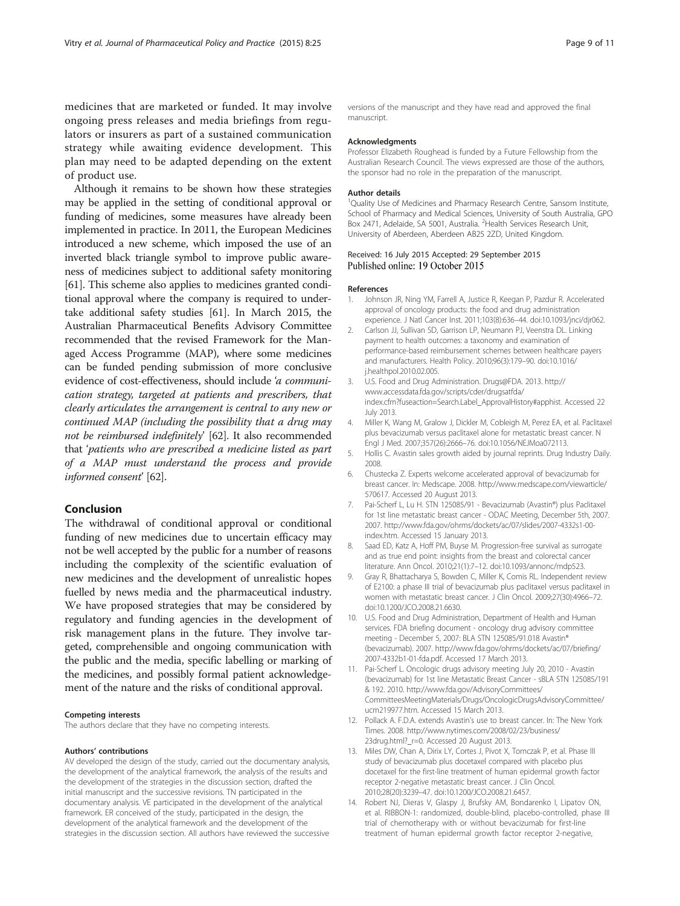<span id="page-8-0"></span>medicines that are marketed or funded. It may involve ongoing press releases and media briefings from regulators or insurers as part of a sustained communication strategy while awaiting evidence development. This plan may need to be adapted depending on the extent of product use.

Although it remains to be shown how these strategies may be applied in the setting of conditional approval or funding of medicines, some measures have already been implemented in practice. In 2011, the European Medicines introduced a new scheme, which imposed the use of an inverted black triangle symbol to improve public awareness of medicines subject to additional safety monitoring [[61](#page-10-0)]. This scheme also applies to medicines granted conditional approval where the company is required to undertake additional safety studies [\[61\]](#page-10-0). In March 2015, the Australian Pharmaceutical Benefits Advisory Committee recommended that the revised Framework for the Managed Access Programme (MAP), where some medicines can be funded pending submission of more conclusive evidence of cost-effectiveness, should include 'a communication strategy, targeted at patients and prescribers, that clearly articulates the arrangement is central to any new or continued MAP (including the possibility that a drug may not be reimbursed indefinitely' [[62](#page-10-0)]. It also recommended that 'patients who are prescribed a medicine listed as part of a MAP must understand the process and provide informed consent' [\[62\]](#page-10-0).

## Conclusion

The withdrawal of conditional approval or conditional funding of new medicines due to uncertain efficacy may not be well accepted by the public for a number of reasons including the complexity of the scientific evaluation of new medicines and the development of unrealistic hopes fuelled by news media and the pharmaceutical industry. We have proposed strategies that may be considered by regulatory and funding agencies in the development of risk management plans in the future. They involve targeted, comprehensible and ongoing communication with the public and the media, specific labelling or marking of the medicines, and possibly formal patient acknowledgement of the nature and the risks of conditional approval.

#### Competing interests

The authors declare that they have no competing interests.

#### Authors' contributions

AV developed the design of the study, carried out the documentary analysis, the development of the analytical framework, the analysis of the results and the development of the strategies in the discussion section, drafted the initial manuscript and the successive revisions. TN participated in the documentary analysis. VE participated in the development of the analytical framework. ER conceived of the study, participated in the design, the development of the analytical framework and the development of the strategies in the discussion section. All authors have reviewed the successive

versions of the manuscript and they have read and approved the final manuscript.

#### Acknowledgments

Professor Elizabeth Roughead is funded by a Future Fellowship from the Australian Research Council. The views expressed are those of the authors, the sponsor had no role in the preparation of the manuscript.

#### Author details

<sup>1</sup>Quality Use of Medicines and Pharmacy Research Centre, Sansom Institute, School of Pharmacy and Medical Sciences, University of South Australia, GPO Box 2471, Adelaide, SA 5001, Australia. <sup>2</sup> Health Services Research Unit University of Aberdeen, Aberdeen AB25 2ZD, United Kingdom.

#### Received: 16 July 2015 Accepted: 29 September 2015 Published online: 19 October 2015

#### References

- 1. Johnson JR, Ning YM, Farrell A, Justice R, Keegan P, Pazdur R. Accelerated approval of oncology products: the food and drug administration experience. J Natl Cancer Inst. 2011;103(8):636–44. doi:[10.1093/jnci/djr062.](http://dx.doi.org/10.1093/jnci/djr062)
- 2. Carlson JJ, Sullivan SD, Garrison LP, Neumann PJ, Veenstra DL. Linking payment to health outcomes: a taxonomy and examination of performance-based reimbursement schemes between healthcare payers and manufacturers. Health Policy. 2010;96(3):179–90. doi[:10.1016/](http://dx.doi.org/10.1016/j.healthpol.2010.02.005) [j.healthpol.2010.02.005.](http://dx.doi.org/10.1016/j.healthpol.2010.02.005)
- 3. U.S. Food and Drug Administration. Drugs@FDA. 2013. [http://](http://www.accessdata.fda.gov/scripts/cder/drugsatfda/index.cfm?fuseaction=Search.Label_ApprovalHistory#apphist) [www.accessdata.fda.gov/scripts/cder/drugsatfda/](http://www.accessdata.fda.gov/scripts/cder/drugsatfda/index.cfm?fuseaction=Search.Label_ApprovalHistory#apphist) [index.cfm?fuseaction=Search.Label\\_ApprovalHistory#apphist](http://www.accessdata.fda.gov/scripts/cder/drugsatfda/index.cfm?fuseaction=Search.Label_ApprovalHistory#apphist). Accessed 22 July 2013.
- 4. Miller K, Wang M, Gralow J, Dickler M, Cobleigh M, Perez EA, et al. Paclitaxel plus bevacizumab versus paclitaxel alone for metastatic breast cancer. N Engl J Med. 2007;357(26):2666–76. doi[:10.1056/NEJMoa072113.](http://dx.doi.org/10.1056/NEJMoa072113)
- 5. Hollis C. Avastin sales growth aided by journal reprints. Drug Industry Daily. 2008.
- 6. Chustecka Z. Experts welcome accelerated approval of bevacizumab for breast cancer. In: Medscape. 2008. [http://www.medscape.com/viewarticle/](http://www.medscape.com/viewarticle/570617) [570617](http://www.medscape.com/viewarticle/570617). Accessed 20 August 2013.
- 7. Pai-Scherf L, Lu H. STN 125085/91 Bevacizumab (Avastin®) plus Paclitaxel for 1st line metastatic breast cancer - ODAC Meeting, December 5th, 2007. 2007. [http://www.fda.gov/ohrms/dockets/ac/07/slides/2007-4332s1-00](http://www.fda.gov/ohrms/dockets/ac/07/slides/2007-4332s1-00-index.htm) [index.htm](http://www.fda.gov/ohrms/dockets/ac/07/slides/2007-4332s1-00-index.htm). Accessed 15 January 2013.
- 8. Saad ED, Katz A, Hoff PM, Buyse M. Progression-free survival as surrogate and as true end point: insights from the breast and colorectal cancer literature. Ann Oncol. 2010;21(1):7–12. doi:[10.1093/annonc/mdp523](http://dx.doi.org/10.1093/annonc/mdp523).
- 9. Gray R, Bhattacharya S, Bowden C, Miller K, Comis RL. Independent review of E2100: a phase III trial of bevacizumab plus paclitaxel versus paclitaxel in women with metastatic breast cancer. J Clin Oncol. 2009;27(30):4966–72. doi[:10.1200/JCO.2008.21.6630.](http://dx.doi.org/10.1200/JCO.2008.21.6630)
- 10. U.S. Food and Drug Administration, Department of Health and Human services. FDA briefing document - oncology drug advisory committee meeting - December 5, 2007: BLA STN 125085/91.018 Avastin® (bevacizumab). 2007. [http://www.fda.gov/ohrms/dockets/ac/07/briefing/](http://www.fda.gov/ohrms/dockets/ac/07/briefing/2007-4332b1-01-fda.pdf) [2007-4332b1-01-fda.pdf.](http://www.fda.gov/ohrms/dockets/ac/07/briefing/2007-4332b1-01-fda.pdf) Accessed 17 March 2013.
- 11. Pai-Scherf L. Oncologic drugs advisory meeting July 20, 2010 Avastin (bevacizumab) for 1st line Metastatic Breast Cancer - sBLA STN 125085/191 & 192. 2010. [http://www.fda.gov/AdvisoryCommittees/](http://www.fda.gov/AdvisoryCommittees/CommitteesMeetingMaterials/Drugs/OncologicDrugsAdvisoryCommittee/ucm219977.htm) [CommitteesMeetingMaterials/Drugs/OncologicDrugsAdvisoryCommittee/](http://www.fda.gov/AdvisoryCommittees/CommitteesMeetingMaterials/Drugs/OncologicDrugsAdvisoryCommittee/ucm219977.htm) [ucm219977.htm.](http://www.fda.gov/AdvisoryCommittees/CommitteesMeetingMaterials/Drugs/OncologicDrugsAdvisoryCommittee/ucm219977.htm) Accessed 15 March 2013.
- 12. Pollack A. F.D.A. extends Avastin's use to breast cancer. In: The New York Times. 2008. [http://www.nytimes.com/2008/02/23/business/](http://www.nytimes.com/2008/02/23/business/23drug.html?_r=0) [23drug.html?\\_r=0](http://www.nytimes.com/2008/02/23/business/23drug.html?_r=0). Accessed 20 August 2013.
- 13. Miles DW, Chan A, Dirix LY, Cortes J, Pivot X, Tomczak P, et al. Phase III study of bevacizumab plus docetaxel compared with placebo plus docetaxel for the first-line treatment of human epidermal growth factor receptor 2-negative metastatic breast cancer. J Clin Oncol. 2010;28(20):3239–47. doi:[10.1200/JCO.2008.21.6457.](http://dx.doi.org/10.1200/JCO.2008.21.6457)
- 14. Robert NJ, Dieras V, Glaspy J, Brufsky AM, Bondarenko I, Lipatov ON, et al. RIBBON-1: randomized, double-blind, placebo-controlled, phase III trial of chemotherapy with or without bevacizumab for first-line treatment of human epidermal growth factor receptor 2-negative,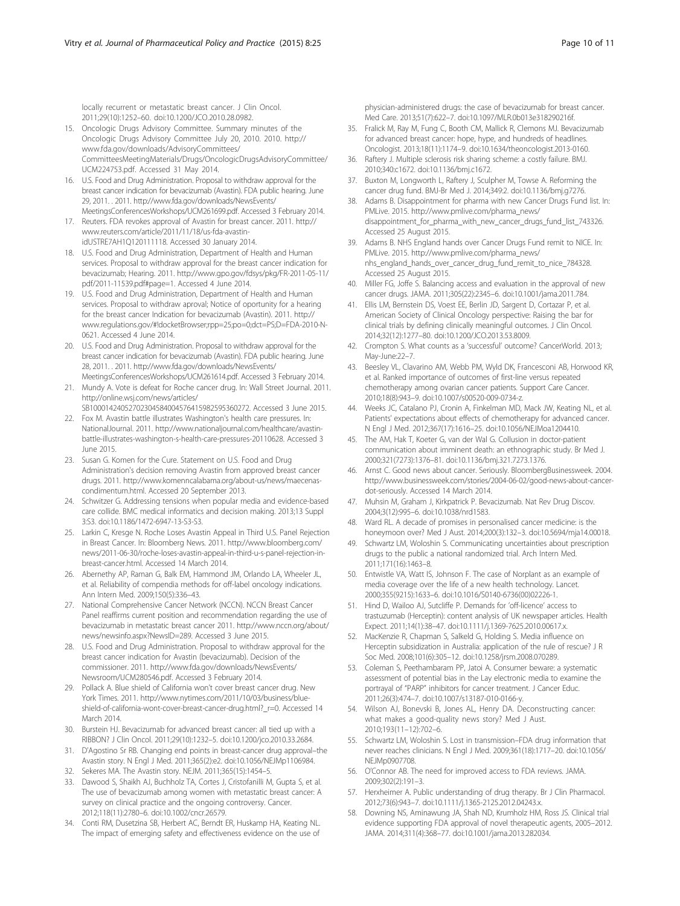<span id="page-9-0"></span>locally recurrent or metastatic breast cancer. J Clin Oncol. 2011;29(10):1252–60. doi:[10.1200/JCO.2010.28.0982.](http://dx.doi.org/10.1200/JCO.2010.28.0982)

- 15. Oncologic Drugs Advisory Committee. Summary minutes of the Oncologic Drugs Advisory Committee July 20, 2010. 2010. [http://](http://www.fda.gov/downloads/AdvisoryCommittees/CommitteesMeetingMaterials/Drugs/OncologicDrugsAdvisoryCommittee/UCM224753.pdf) [www.fda.gov/downloads/AdvisoryCommittees/](http://www.fda.gov/downloads/AdvisoryCommittees/CommitteesMeetingMaterials/Drugs/OncologicDrugsAdvisoryCommittee/UCM224753.pdf) [CommitteesMeetingMaterials/Drugs/OncologicDrugsAdvisoryCommittee/](http://www.fda.gov/downloads/AdvisoryCommittees/CommitteesMeetingMaterials/Drugs/OncologicDrugsAdvisoryCommittee/UCM224753.pdf) [UCM224753.pdf](http://www.fda.gov/downloads/AdvisoryCommittees/CommitteesMeetingMaterials/Drugs/OncologicDrugsAdvisoryCommittee/UCM224753.pdf). Accessed 31 May 2014.
- 16. U.S. Food and Drug Administration. Proposal to withdraw approval for the breast cancer indication for bevacizumab (Avastin). FDA public hearing. June 29, 2011. . 2011. [http://www.fda.gov/downloads/NewsEvents/](http://www.fda.gov/downloads/NewsEvents/MeetingsConferencesWorkshops/UCM261699.pdf) [MeetingsConferencesWorkshops/UCM261699.pdf](http://www.fda.gov/downloads/NewsEvents/MeetingsConferencesWorkshops/UCM261699.pdf). Accessed 3 February 2014.
- 17. Reuters. FDA revokes approval of Avastin for breast cancer. 2011. [http://](http://www.reuters.com/article/2011/11/18/us-fda-avastin-idUSTRE7AH1Q120111118) [www.reuters.com/article/2011/11/18/us-fda-avastin](http://www.reuters.com/article/2011/11/18/us-fda-avastin-idUSTRE7AH1Q120111118)[idUSTRE7AH1Q120111118.](http://www.reuters.com/article/2011/11/18/us-fda-avastin-idUSTRE7AH1Q120111118) Accessed 30 January 2014.
- 18. U.S. Food and Drug Administration, Department of Health and Human services. Proposal to withdraw approval for the breast cancer indication for bevacizumab; Hearing. 2011. [http://www.gpo.gov/fdsys/pkg/FR-2011-05-11/](http://www.gpo.gov/fdsys/pkg/FR-2011-05-11/pdf/2011-11539.pdf#page=1) [pdf/2011-11539.pdf#page=1.](http://www.gpo.gov/fdsys/pkg/FR-2011-05-11/pdf/2011-11539.pdf#page=1) Accessed 4 June 2014.
- 19. U.S. Food and Drug Administration, Department of Health and Human services. Proposal to withdraw aproval; Notice of oportunity for a hearing for the breast cancer Indication for bevacizumab (Avastin). 2011. [http://](http://www.regulations.gov/#!docketBrowser;rpp=25;po=0;dct=PS;D=FDA-2010-N-0621) [www.regulations.gov/#!docketBrowser;rpp=25;po=0;dct=PS;D=FDA-2010-N-](http://www.regulations.gov/#!docketBrowser;rpp=25;po=0;dct=PS;D=FDA-2010-N-0621)[0621](http://www.regulations.gov/#!docketBrowser;rpp=25;po=0;dct=PS;D=FDA-2010-N-0621). Accessed 4 June 2014.
- 20. U.S. Food and Drug Administration. Proposal to withdraw approval for the breast cancer indication for bevacizumab (Avastin). FDA public hearing. June 28, 2011. . 2011. [http://www.fda.gov/downloads/NewsEvents/](http://www.fda.gov/downloads/NewsEvents/MeetingsConferencesWorkshops/UCM261614.pdf) [MeetingsConferencesWorkshops/UCM261614.pdf](http://www.fda.gov/downloads/NewsEvents/MeetingsConferencesWorkshops/UCM261614.pdf). Accessed 3 February 2014.
- 21. Mundy A. Vote is defeat for Roche cancer drug. In: Wall Street Journal. 2011. [http://online.wsj.com/news/articles/](http://online.wsj.com/news/articles/SB10001424052702304584004576415982595360272) [SB10001424052702304584004576415982595360272](http://online.wsj.com/news/articles/SB10001424052702304584004576415982595360272). Accessed 3 June 2015.
- 22. Fox M. Avastin battle illustrates Washington's health care pressures. In: NationalJournal. 2011. [http://www.nationaljournal.com/healthcare/avastin](http://www.nationaljournal.com/healthcare/avastin-battle-illustrates-washington-s-health-care-pressures-20110628)[battle-illustrates-washington-s-health-care-pressures-20110628](http://www.nationaljournal.com/healthcare/avastin-battle-illustrates-washington-s-health-care-pressures-20110628). Accessed 3 June 2015.
- 23. Susan G. Komen for the Cure. Statement on U.S. Food and Drug Administration's decision removing Avastin from approved breast cancer drugs. 2011. [http://www.komenncalabama.org/about-us/news/maecenas](http://www.komenncalabama.org/about-us/news/maecenas-condimentum.html)[condimentum.html.](http://www.komenncalabama.org/about-us/news/maecenas-condimentum.html) Accessed 20 September 2013.
- 24. Schwitzer G. Addressing tensions when popular media and evidence-based care collide. BMC medical informatics and decision making. 2013;13 Suppl 3:S3. doi:[10.1186/1472-6947-13-S3-S3](http://dx.doi.org/10.1186/1472-6947-13-S3-S3).
- 25. Larkin C, Kresge N. Roche Loses Avastin Appeal in Third U.S. Panel Rejection in Breast Cancer. In: Bloomberg News. 2011. [http://www.bloomberg.com/](http://www.bloomberg.com/news/2011-06-30/roche-loses-avastin-appeal-in-third-u-s-panel-rejection-in-breast-cancer.html) [news/2011-06-30/roche-loses-avastin-appeal-in-third-u-s-panel-rejection-in](http://www.bloomberg.com/news/2011-06-30/roche-loses-avastin-appeal-in-third-u-s-panel-rejection-in-breast-cancer.html)[breast-cancer.html](http://www.bloomberg.com/news/2011-06-30/roche-loses-avastin-appeal-in-third-u-s-panel-rejection-in-breast-cancer.html). Accessed 14 March 2014.
- 26. Abernethy AP, Raman G, Balk EM, Hammond JM, Orlando LA, Wheeler JL, et al. Reliability of compendia methods for off-label oncology indications. Ann Intern Med. 2009;150(5):336–43.
- 27. National Comprehensive Cancer Network (NCCN). NCCN Breast Cancer Panel reaffirms current position and recommendation regarding the use of bevacizumab in metastatic breast cancer 2011. [http://www.nccn.org/about/](http://www.nccn.org/about/news/newsinfo.aspx?NewsID=289) [news/newsinfo.aspx?NewsID=289.](http://www.nccn.org/about/news/newsinfo.aspx?NewsID=289) Accessed 3 June 2015.
- 28. U.S. Food and Drug Administration. Proposal to withdraw approval for the breast cancer indication for Avastin (bevacizumab). Decision of the commissioner. 2011. [http://www.fda.gov/downloads/NewsEvents/](http://www.fda.gov/downloads/NewsEvents/Newsroom/UCM280546.pdf) [Newsroom/UCM280546.pdf](http://www.fda.gov/downloads/NewsEvents/Newsroom/UCM280546.pdf). Accessed 3 February 2014.
- 29. Pollack A. Blue shield of California won't cover breast cancer drug. New York Times. 2011. [http://www.nytimes.com/2011/10/03/business/blue](http://www.nytimes.com/2011/10/03/business/blue-shield-of-california-wont-cover-breast-cancer-drug.html?_r=0)[shield-of-california-wont-cover-breast-cancer-drug.html?\\_r=0](http://www.nytimes.com/2011/10/03/business/blue-shield-of-california-wont-cover-breast-cancer-drug.html?_r=0). Accessed 14 March 2014.
- 30. Burstein HJ. Bevacizumab for advanced breast cancer: all tied up with a RIBBON? J Clin Oncol. 2011;29(10):1232–5. doi[:10.1200/jco.2010.33.2684](http://dx.doi.org/10.1200/jco.2010.33.2684).
- 31. D'Agostino Sr RB. Changing end points in breast-cancer drug approval–the Avastin story. N Engl J Med. 2011;365(2):e2. doi[:10.1056/NEJMp1106984.](http://dx.doi.org/10.1056/NEJMp1106984)
- 32. Sekeres MA. The Avastin story. NEJM. 2011;365(15):1454–5. 33. Dawood S, Shaikh AJ, Buchholz TA, Cortes J, Cristofanilli M, Gupta S, et al.
- The use of bevacizumab among women with metastatic breast cancer: A survey on clinical practice and the ongoing controversy. Cancer. 2012;118(11):2780–6. doi:[10.1002/cncr.26579](http://dx.doi.org/10.1002/cncr.26579).
- 34. Conti RM, Dusetzina SB, Herbert AC, Berndt ER, Huskamp HA, Keating NL. The impact of emerging safety and effectiveness evidence on the use of

physician-administered drugs: the case of bevacizumab for breast cancer. Med Care. 2013;51(7):622–7. doi[:10.1097/MLR.0b013e318290216f](http://dx.doi.org/10.1097/MLR.0b013e318290216f).

- 35. Fralick M, Ray M, Fung C, Booth CM, Mallick R, Clemons MJ. Bevacizumab for advanced breast cancer: hope, hype, and hundreds of headlines. Oncologist. 2013;18(11):1174–9. doi[:10.1634/theoncologist.2013-0160](http://dx.doi.org/10.1634/theoncologist.2013-0160).
- 36. Raftery J. Multiple sclerosis risk sharing scheme: a costly failure. BMJ. 2010;340:c1672. doi[:10.1136/bmj.c1672.](http://dx.doi.org/10.1136/bmj.c1672)
- 37. Buxton M, Longworth L, Raftery J, Sculpher M, Towse A. Reforming the cancer drug fund. BMJ-Br Med J. 2014;349:2. doi[:10.1136/bmj.g7276.](http://dx.doi.org/10.1136/bmj.g7276)
- 38. Adams B. Disappointment for pharma with new Cancer Drugs Fund list. In: PMLive. 2015. [http://www.pmlive.com/pharma\\_news/](http://www.pmlive.com/pharma_news/disappointment_for_pharma_with_new_cancer_drugs_fund_list_743326) [disappointment\\_for\\_pharma\\_with\\_new\\_cancer\\_drugs\\_fund\\_list\\_743326.](http://www.pmlive.com/pharma_news/disappointment_for_pharma_with_new_cancer_drugs_fund_list_743326) Accessed 25 August 2015.
- 39. Adams B. NHS England hands over Cancer Drugs Fund remit to NICE. In: PMLive. 2015. [http://www.pmlive.com/pharma\\_news/](http://www.pmlive.com/pharma_news/nhs_england_hands_over_cancer_drug_fund_remit_to_nice_784328) [nhs\\_england\\_hands\\_over\\_cancer\\_drug\\_fund\\_remit\\_to\\_nice\\_784328](http://www.pmlive.com/pharma_news/nhs_england_hands_over_cancer_drug_fund_remit_to_nice_784328). Accessed 25 August 2015.
- 40. Miller FG, Joffe S. Balancing access and evaluation in the approval of new cancer drugs. JAMA. 2011;305(22):2345–6. doi:[10.1001/jama.2011.784.](http://dx.doi.org/10.1001/jama.2011.784)
- 41. Ellis LM, Bernstein DS, Voest EE, Berlin JD, Sargent D, Cortazar P, et al. American Society of Clinical Oncology perspective: Raising the bar for clinical trials by defining clinically meaningful outcomes. J Clin Oncol. 2014;32(12):1277–80. doi:[10.1200/JCO.2013.53.8009.](http://dx.doi.org/10.1200/JCO.2013.53.8009)
- 42. Crompton S. What counts as a 'successful' outcome? CancerWorld. 2013; May-June:22–7.
- 43. Beesley VL, Clavarino AM, Webb PM, Wyld DK, Francesconi AB, Horwood KR, et al. Ranked importance of outcomes of first-line versus repeated chemotherapy among ovarian cancer patients. Support Care Cancer. 2010;18(8):943–9. doi:[10.1007/s00520-009-0734-z](http://dx.doi.org/10.1007/s00520-009-0734-z).
- 44. Weeks JC, Catalano PJ, Cronin A, Finkelman MD, Mack JW, Keating NL, et al. Patients' expectations about effects of chemotherapy for advanced cancer. N Engl J Med. 2012;367(17):1616–25. doi[:10.1056/NEJMoa1204410.](http://dx.doi.org/10.1056/NEJMoa1204410)
- 45. The AM, Hak T, Koeter G, van der Wal G. Collusion in doctor-patient communication about imminent death: an ethnographic study. Br Med J. 2000;321(7273):1376–81. doi[:10.1136/bmj.321.7273.1376](http://dx.doi.org/10.1136/bmj.321.7273.1376).
- Arnst C. Good news about cancer. Seriously. BloombergBusinessweek. 2004. [http://www.businessweek.com/stories/2004-06-02/good-news-about-cancer](http://www.businessweek.com/stories/2004-06-02/good-news-about-cancer-dot-seriously)[dot-seriously.](http://www.businessweek.com/stories/2004-06-02/good-news-about-cancer-dot-seriously) Accessed 14 March 2014.
- 47. Muhsin M, Graham J, Kirkpatrick P. Bevacizumab. Nat Rev Drug Discov. 2004;3(12):995–6. doi:[10.1038/nrd1583.](http://dx.doi.org/10.1038/nrd1583)
- 48. Ward RL. A decade of promises in personalised cancer medicine: is the honeymoon over? Med J Aust. 2014;200(3):132–3. doi:[10.5694/mja14.00018](http://dx.doi.org/10.5694/mja14.00018).
- 49. Schwartz LM, Woloshin S. Communicating uncertainties about prescription drugs to the public a national randomized trial. Arch Intern Med. 2011;171(16):1463–8.
- 50. Entwistle VA, Watt IS, Johnson F. The case of Norplant as an example of media coverage over the life of a new health technology. Lancet. 2000;355(9215):1633–6. doi:[10.1016/S0140-6736\(00\)02226-1](http://dx.doi.org/10.1016/S0140-6736(00)02226-1).
- 51. Hind D, Wailoo AJ, Sutcliffe P. Demands for 'off-licence' access to trastuzumab (Herceptin): content analysis of UK newspaper articles. Health Expect. 2011;14(1):38–47. doi:[10.1111/j.1369-7625.2010.00617.x](http://dx.doi.org/10.1111/j.1369-7625.2010.00617.x).
- 52. MacKenzie R, Chapman S, Salkeld G, Holding S. Media influence on Herceptin subsidization in Australia: application of the rule of rescue? J R Soc Med. 2008;101(6):305–12. doi:[10.1258/jrsm.2008.070289](http://dx.doi.org/10.1258/jrsm.2008.070289).
- 53. Coleman S, Peethambaram PP, Jatoi A. Consumer beware: a systematic assessment of potential bias in the Lay electronic media to examine the portrayal of "PARP" inhibitors for cancer treatment. J Cancer Educ. 2011;26(3):474–7. doi:[10.1007/s13187-010-0166-y.](http://dx.doi.org/10.1007/s13187-010-0166-y)
- 54. Wilson AJ, Bonevski B, Jones AL, Henry DA. Deconstructing cancer: what makes a good-quality news story? Med J Aust. 2010;193(11–12):702–6.
- 55. Schwartz LM, Woloshin S. Lost in transmission–FDA drug information that never reaches clinicians. N Engl J Med. 2009;361(18):1717–20. doi:[10.1056/](http://dx.doi.org/10.1056/NEJMp0907708) [NEJMp0907708](http://dx.doi.org/10.1056/NEJMp0907708).
- 56. O'Connor AB. The need for improved access to FDA reviews. JAMA. 2009;302(2):191–3.
- 57. Herxheimer A. Public understanding of drug therapy. Br J Clin Pharmacol. 2012;73(6):943–7. doi:[10.1111/j.1365-2125.2012.04243.x.](http://dx.doi.org/10.1111/j.1365-2125.2012.04243.x)
- 58. Downing NS, Aminawung JA, Shah ND, Krumholz HM, Ross JS. Clinical trial evidence supporting FDA approval of novel therapeutic agents, 2005–2012. JAMA. 2014;311(4):368–77. doi:[10.1001/jama.2013.282034](http://dx.doi.org/10.1001/jama.2013.282034).